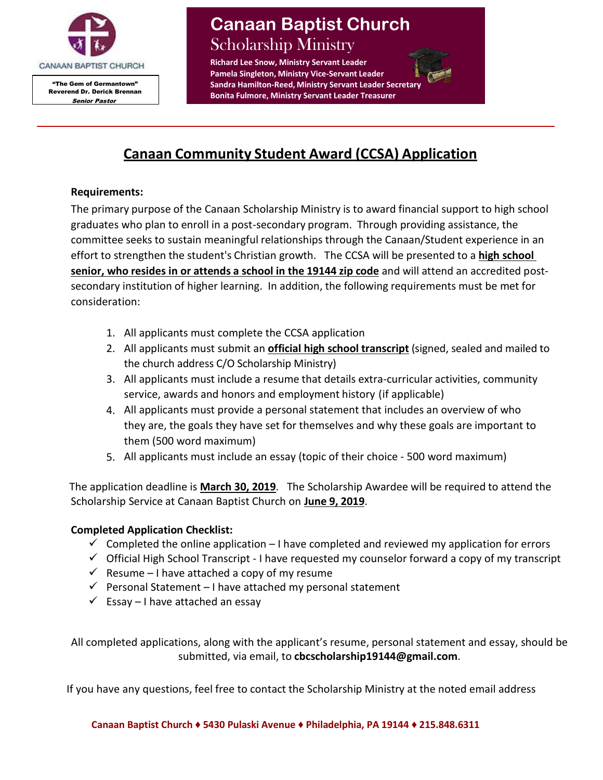

"The Gem of Germantown" Reverend Dr. Derick Brennan Senior Pastor

# **Canaan Baptist Church** Scholarship Ministry

**Richard Lee Snow, Ministry Servant Leader Pamela Singleton, Ministry Vice-Servant Leader Sandra Hamilton-Reed, Ministry Servant Leader Secretar Bonita Fulmore, Ministry Servant Leader Treasurer**

# **Canaan Community Student Award (CCSA) Application**

## **Requirements:**

The primary purpose of the Canaan Scholarship Ministry is to award financial support to high school graduates who plan to enroll in a post-secondary program. Through providing assistance, the committee seeks to sustain meaningful relationships through the Canaan/Student experience in an effort to strengthen the student's Christian growth. The CCSA will be presented to a **high school senior, who resides in or attends a school in the 19144 zip code** and will attend an accredited postsecondary institution of higher learning. In addition, the following requirements must be met for consideration:

- 1. All applicants must complete the CCSA application
- 2. All applicants must submit an **official high school transcript** (signed, sealed and mailed to the church address C/O Scholarship Ministry)
- 3. All applicants must include a resume that details extra-curricular activities, community service, awards and honors and employment history (if applicable)
- 4. All applicants must provide a personal statement that includes an overview of who they are, the goals they have set for themselves and why these goals are important to them (500 word maximum)
- 5. All applicants must include an essay (topic of their choice 500 word maximum)

 The application deadline is **March 30, 2019**. The Scholarship Awardee will be required to attend the Scholarship Service at Canaan Baptist Church on **June 9, 2019**.

## **Completed Application Checklist:**

- $\checkmark$  Completed the online application I have completed and reviewed my application for errors
- $\checkmark$  Official High School Transcript I have requested my counselor forward a copy of my transcript
- $\checkmark$  Resume I have attached a copy of my resume
- $\checkmark$  Personal Statement I have attached my personal statement
- $\checkmark$  Essay I have attached an essay

All completed applications, along with the applicant's resume, personal statement and essay, should be submitted, via email, to **[cbcscholarship19144@gmail.com](mailto:cbcscholarship19144@gmail.com)**.

If you have any questions, feel free to contact the Scholarship Ministry at the noted email address